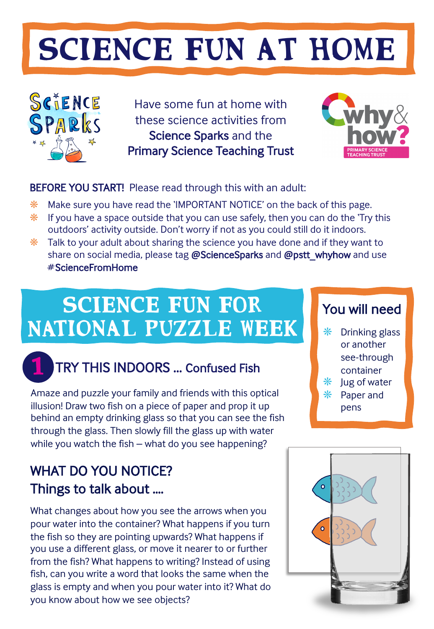# SCIENCE FUN AT HOME



Have some fun at home with these science activities from Science Sparks and the Primary Science Teaching Trust



#### BEFORE YOU START! Please read through this with an adult:

- ❋ Make sure you have read the 'IMPORTANT NOTICE' on the back of this page.
- $*$  If you have a space outside that you can use safely, then you can do the 'Try this outdoors' activity outside. Don't worry if not as you could still do it indoors.
- $*$  Talk to your adult about sharing the science you have done and if they want to share on social media, please tag **@**ScienceSparks and **@**pstt\_whyhow and use # ScienceFromHome

## SCIENCE FUN FOR You will need National puzzle WEEK



### TRY THIS INDOORS ... Confused Fish

Amaze and puzzle your family and friends with this optical illusion! Draw two fish on a piece of paper and prop it up behind an empty drinking glass so that you can see the fish through the glass. Then slowly fill the glass up with water while you watch the fish – what do you see happening?

#### WHAT DO YOU NOTICE? Things to talk about ….

What changes about how you see the arrows when you pour water into the container? What happens if you turn the fish so they are pointing upwards? What happens if you use a different glass, or move it nearer to or further from the fish? What happens to writing? Instead of using fish, can you write a word that looks the same when the glass is empty and when you pour water into it? What do you know about how we see objects?

- $*$  Drinking glass or another see-through container
- ❋ Jug of water
- ❋ Paper and pens